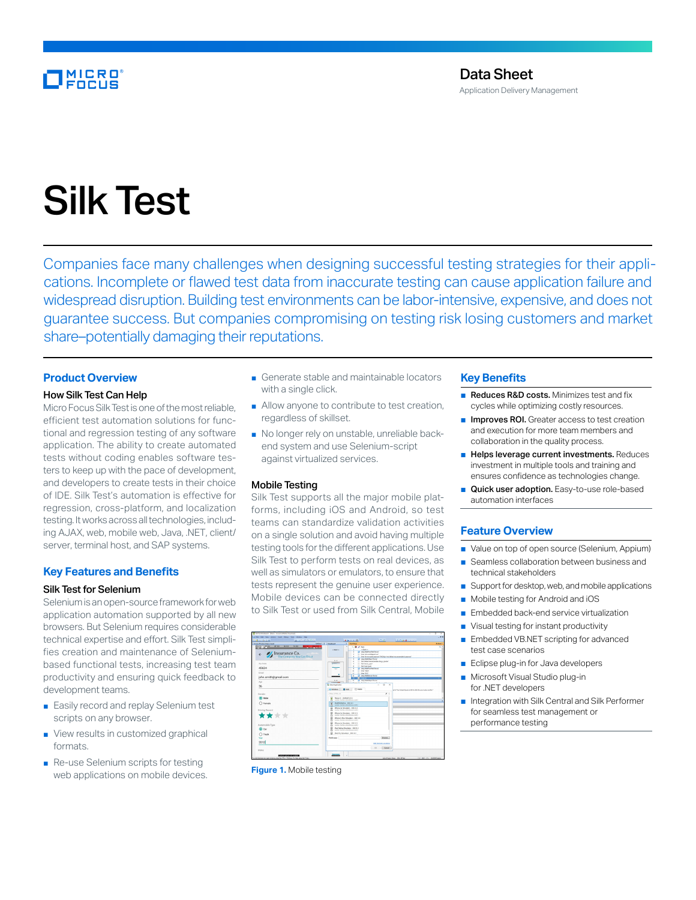# MICRO<br>Encus

# Silk Test

Companies face many challenges when designing successful testing strategies for their applications. Incomplete or flawed test data from inaccurate testing can cause application failure and widespread disruption. Building test environments can be labor-intensive, expensive, and does not guarantee success. But companies compromising on testing risk losing customers and market share–potentially damaging their reputations.

### **Product Overview**

#### How Silk Test Can Help

Micro Focus Silk Test is one of the most reliable, efficient test automation solutions for functional and regression testing of any software application. The ability to create automated tests without coding enables software testers to keep up with the pace of development, and developers to create tests in their choice of IDE. Silk Test's automation is effective for regression, cross-platform, and localization testing. It works across all technologies, including AJAX, web, mobile web, Java, .NET, client/ server, terminal host, and SAP systems.

# **Key Features and Benefits**

#### Silk Test for Selenium

Selenium is an open-source framework for web application automation supported by all new browsers. But Selenium requires considerable technical expertise and effort. Silk Test simplifies creation and maintenance of Seleniumbased functional tests, increasing test team productivity and ensuring quick feedback to development teams.

- Easily record and replay Selenium test scripts on any browser.
- View results in customized graphical formats.
- Re-use Selenium scripts for testing web applications on mobile devices.
- Generate stable and maintainable locators with a single click.
- Allow anyone to contribute to test creation, regardless of skillset.
- No longer rely on unstable, unreliable backend system and use Selenium-script against virtualized services.

#### Mobile Testing

Silk Test supports all the major mobile platforms, including iOS and Android, so test teams can standardize validation activities on a single solution and avoid having multiple testing tools for the different applications. Use Silk Test to perform tests on real devices, as well as simulators or emulators, to ensure that tests represent the genuine user experience. Mobile devices can be connected directly to Silk Test or used from Silk Central, Mobile



**Figure 1.** Mobile testing

#### **Key Benefits**

- Reduces R&D costs. Minimizes test and fix cycles while optimizing costly resources.
- Improves ROI. Greater access to test creation and execution for more team members and collaboration in the quality process.
- Helps leverage current investments. Reduces investment in multiple tools and training and ensures confidence as technologies change.
- Quick user adoption. Easy-to-use role-based automation interfaces

#### **Feature Overview**

- Value on top of open source (Selenium, Appium)
- Seamless collaboration between business and technical stakeholders
- Support for desktop, web, and mobile applications
- Mobile testing for Android and iOS
- Embedded back-end service virtualization
- Visual testing for instant productivity
- Embedded VB.NET scripting for advanced test case scenarios
- Eclipse plug-in for Java developers
- Microsoft Visual Studio plug-in for .NET developers
- Integration with Silk Central and Silk Performer for seamless test management or performance testing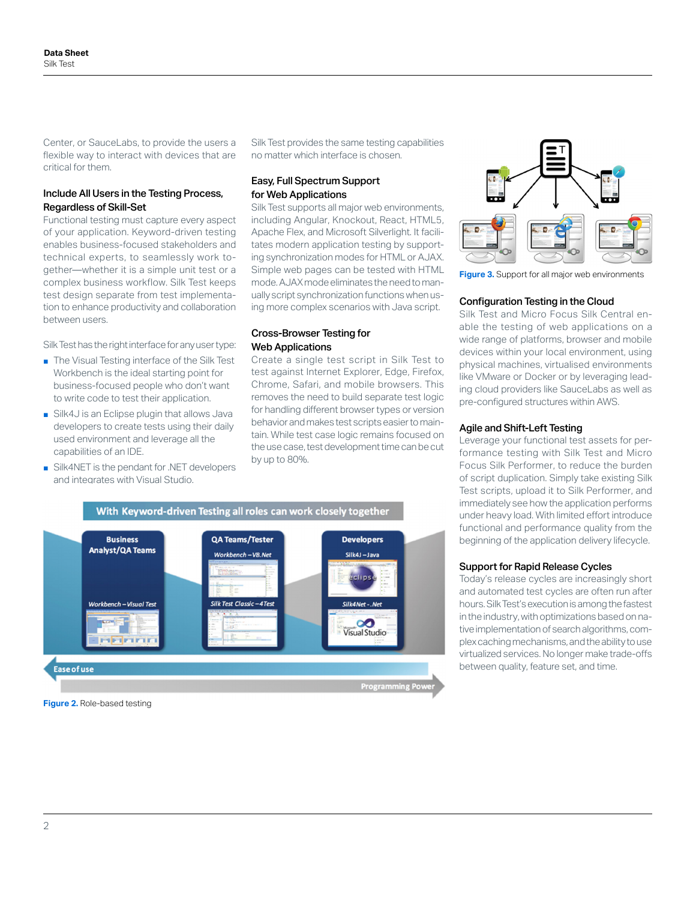Center, or SauceLabs, to provide the users a flexible way to interact with devices that are critical for them.

#### Include All Users in the Testing Process, Regardless of Skill-Set

Functional testing must capture every aspect of your application. Keyword-driven testing enables business-focused stakeholders and technical experts, to seamlessly work together—whether it is a simple unit test or a complex business workflow. Silk Test keeps test design separate from test implementation to enhance productivity and collaboration between users.

Silk Test has the right interface for any user type:

- The Visual Testing interface of the Silk Test Workbench is the ideal starting point for business-focused people who don't want to write code to test their application.
- Silk4J is an Eclipse plugin that allows Java developers to create tests using their daily used environment and leverage all the capabilities of an IDE.
- Silk4NET is the pendant for .NET developers and integrates with Visual Studio.

Silk Test provides the same testing capabilities no matter which interface is chosen.

#### Easy, Full Spectrum Support for Web Applications

Silk Test supports all major web environments, including Angular, Knockout, React, HTML5, Apache Flex, and Microsoft Silverlight. It facilitates modern application testing by supporting synchronization modes for HTML or AJAX. Simple web pages can be tested with HTML mode. AJAX mode eliminates the need to manually script synchronization functions when using more complex scenarios with Java script.

#### Cross-Browser Testing for Web Applications

Create a single test script in Silk Test to test against Internet Explorer, Edge, Firefox, Chrome, Safari, and mobile browsers. This removes the need to build separate test logic for handling different browser types or version behavior and makes test scripts easier to maintain. While test case logic remains focused on the use case, test development time can be cut by up to 80%.



**Figure 3.** Support for all major web environments

#### Configuration Testing in the Cloud

Silk Test and Micro Focus Silk Central enable the testing of web applications on a wide range of platforms, browser and mobile devices within your local environment, using physical machines, virtualised environments like VMware or Docker or by leveraging leading cloud providers like SauceLabs as well as pre-configured structures within AWS.

#### Agile and Shift-Left Testing

Leverage your functional test assets for performance testing with Silk Test and Micro Focus Silk Performer, to reduce the burden of script duplication. Simply take existing Silk Test scripts, upload it to Silk Performer, and immediately see how the application performs under heavy load. With limited effort introduce functional and performance quality from the beginning of the application delivery lifecycle.

#### Support for Rapid Release Cycles

Today's release cycles are increasingly short and automated test cycles are often run after hours. Silk Test's execution is among the fastest in the industry, with optimizations based on native implementation of search algorithms, complex caching mechanisms, and the ability to use virtualized services. No longer make trade-offs between quality, feature set, and time.



**Figure 2.** Role-based testing